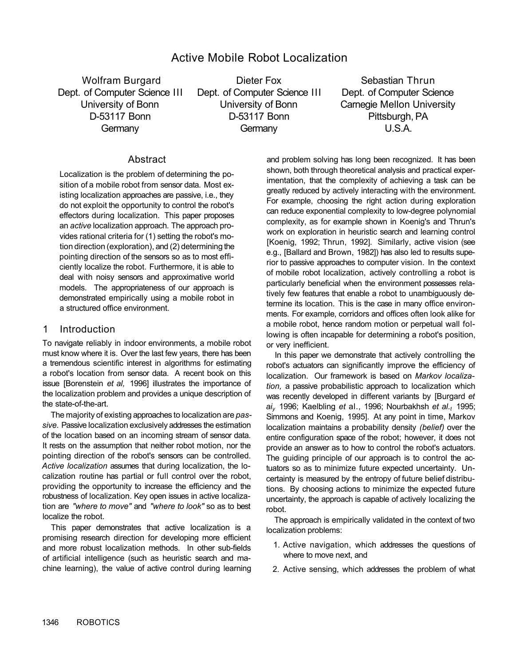# Active Mobile Robot Localization

Wolfram Burgard **Dieter Fox** Sebastian Thrun Dept. of Computer Science III Dept. of Computer Science III Dept. of Computer Science University of Bonn University of Bonn Carnegie Mellon University D-53117 Bonn D-53117 Bonn Pittsburgh, PA Germany Germany Germany U.S.A.

# **Abstract**

Localization is the problem of determining the position of a mobile robot from sensor data. Most existing localization approaches are passive, i.e., they do not exploit the opportunity to control the robot's effectors during localization. This paper proposes an *active* localization approach. The approach provides rational criteria for (1) setting the robot's motion direction (exploration), and (2) determining the pointing direction of the sensors so as to most efficiently localize the robot. Furthermore, it is able to deal with noisy sensors and approximative world models. The appropriateness of our approach is demonstrated empirically using a mobile robot in a structured office environment.

# 1 Introduction

To navigate reliably in indoor environments, a mobile robot must know where it is. Over the last few years, there has been a tremendous scientific interest in algorithms for estimating a robot's location from sensor data. A recent book on this issue [Borenstein *et al,* 1996] illustrates the importance of the localization problem and provides a unique description of the state-of-the-art.

The majority of existing approaches to localization are *passive.* Passive localization exclusively addresses the estimation of the location based on an incoming stream of sensor data. It rests on the assumption that neither robot motion, nor the pointing direction of the robot's sensors can be controlled. *Active localization* assumes that during localization, the localization routine has partial or full control over the robot, providing the opportunity to increase the efficiency and the robustness of localization. Key open issues in active localization are *"where to move"* and *"where to look"* so as to best localize the robot.

This paper demonstrates that active localization is a promising research direction for developing more efficient and more robust localization methods. In other sub-fields of artificial intelligence (such as heuristic search and machine learning), the value of active control during learning and problem solving has long been recognized. It has been shown, both through theoretical analysis and practical experimentation, that the complexity of achieving a task can be greatly reduced by actively interacting with the environment. For example, choosing the right action during exploration can reduce exponential complexity to low-degree polynomial complexity, as for example shown in Koenig's and Thrun's work on exploration in heuristic search and learning control [Koenig, 1992; Thrun, 1992]. Similarly, active vision (see e.g., [Ballard and Brown, 1982]) has also led to results superior to passive approaches to computer vision. In the context of mobile robot localization, actively controlling a robot is particularly beneficial when the environment possesses relatively few features that enable a robot to unambiguously determine its location. This is the case in many office environments. For example, corridors and offices often look alike for a mobile robot, hence random motion or perpetual wall following is often incapable for determining a robot's position, or very inefficient.

In this paper we demonstrate that actively controlling the robot's actuators can significantly improve the efficiency of localization. Our framework is based on *Markov localization,* a passive probabilistic approach to localization which was recently developed in different variants by [Burgard *et aiy* 1996; Kaelbling *et* al., 1996; Nourbakhsh *et al.t* 1995; Simmons and Koenig, 1995]. At any point in time, Markov localization maintains a probability density *(belief)* over the entire configuration space of the robot; however, it does not provide an answer as to how to control the robot's actuators. The quiding principle of our approach is to control the actuators so as to minimize future expected uncertainty. Uncertainty is measured by the entropy of future belief distributions. By choosing actions to minimize the expected future uncertainty, the approach is capable of actively localizing the robot.

The approach is empirically validated in the context of two localization problems:

- 1. Active navigation, which addresses the questions of where to move next, and
- 2. Active sensing, which addresses the problem of what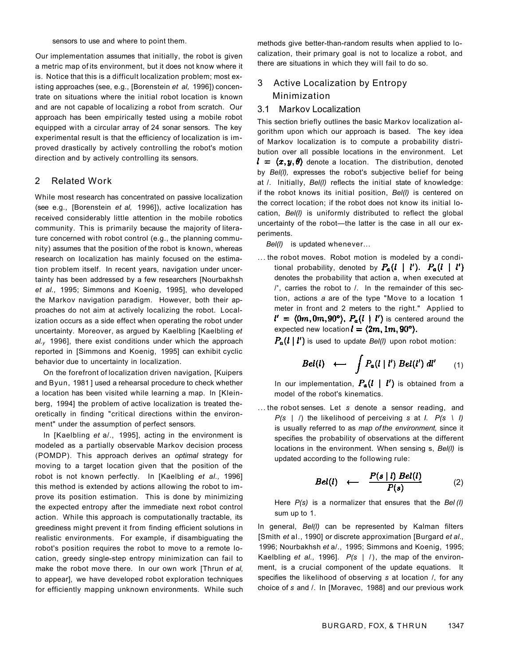sensors to use and where to point them.

Our implementation assumes that initially, the robot is given a metric map of its environment, but it does not know where it is. Notice that this is a difficult localization problem; most existing approaches (see, e.g., [Borenstein *et al,* 1996]) concentrate on situations where the initial robot location is known and are not capable of localizing a robot from scratch. Our approach has been empirically tested using a mobile robot equipped with a circular array of 24 sonar sensors. The key experimental result is that the efficiency of localization is improved drastically by actively controlling the robot's motion direction and by actively controlling its sensors.

### 2 Related Work

While most research has concentrated on passive localization (see e.g., [Borenstein *et al,* 1996]), active localization has received considerably little attention in the mobile robotics community. This is primarily because the majority of literature concerned with robot control (e.g., the planning community) assumes that the position of the robot is known, whereas research on localization has mainly focused on the estimation problem itself. In recent years, navigation under uncertainty has been addressed by a few researchers [Nourbakhsh *et al.,* 1995; Simmons and Koenig, 1995], who developed the Markov navigation paradigm. However, both their approaches do not aim at actively localizing the robot. Localization occurs as a side effect when operating the robot under uncertainty. Moreover, as argued by Kaelbling [Kaelbling *et al.y* 1996], there exist conditions under which the approach reported in [Simmons and Koenig, 1995] can exhibit cyclic behavior due to uncertainty in localization.

On the forefront of localization driven navigation, [Kuipers and Byun, 1981 ] used a rehearsal procedure to check whether a location has been visited while learning a map. In [Kleinberg, 1994] the problem of active localization is treated theoretically in finding "critical directions within the environment" under the assumption of perfect sensors.

In [Kaelbling *et* a/., 1995], acting in the environment is modeled as a partially observable Markov decision process (POMDP). This approach derives an *optimal* strategy for moving to a target location given that the position of the robot is not known perfectly. In [Kaelbling *et al.,* 1996] this method is extended by actions allowing the robot to improve its position estimation. This is done by minimizing the expected entropy after the immediate next robot control action. While this approach is computationally tractable, its greediness might prevent it from finding efficient solutions in realistic environments. For example, if disambiguating the robot's position requires the robot to move to a remote location, greedy single-step entropy minimization can fail to make the robot move there. In our own work [Thrun *et al,*  to appear], we have developed robot exploration techniques for efficiently mapping unknown environments. While such methods give better-than-random results when applied to localization, their primary goal is not to localize a robot, and there are situations in which they will fail to do so.

# 3 Active Localization by Entropy Minimization

#### 3.1 Markov Localization

This section briefly outlines the basic Markov localization algorithm upon which our approach is based. The key idea of Markov localization is to compute a probability distribution over all possible locations in the environment. Let  $d = \langle x, y, \theta \rangle$  denote a location. The distribution, denoted by *Bel(l),* expresses the robot's subjective belief for being at /. Initially, *Bel(l)* reflects the initial state of knowledge: if the robot knows its initial position, *Bel(l)* is centered on the correct location; if the robot does not know its initial location, *Bel(l)* is uniformly distributed to reflect the global uncertainty of the robot—the latter is the case in all our experiments.

*Bel(l)* is updated whenever...

... the robot moves. Robot motion is modeled by a conditional probability, denoted by  $P_a(l \mid l')$ .  $P_a(l \mid l')$ denotes the probability that action a, when executed at /', carries the robot to /. In the remainder of this section, actions *a* are of the type "Move to a location 1 meter in front and 2 meters to the right." Applied to  $i' = (0m, 0m, 90^{\circ}), P_{\alpha}(i \mid i')$  is centered around the expected new location  $l = \langle 2m, 1m, 90^{\circ} \rangle$ .

 $P_{a}(l \mid l')$  is used to update *Bel(l)* upon robot motion:

$$
Bel(l) \longleftarrow \int P_a(l \mid l') Bel(l') dl' \qquad (1)
$$

In our implementation,  $P_a(I \mid I')$  is obtained from a model of the robot's kinematics.

... the robot senses. Let *s* denote a sensor reading, and *P(s* | /) the likelihood of perceiving *s* at *I. P(s \ I)*  is usually referred to as *map of the environment,* since it specifies the probability of observations at the different locations in the environment. When sensing s, *Bel(l)* is updated according to the following rule:

$$
Bel(l) \longleftarrow \frac{P(s \mid l) Bel(l)}{P(s)} \qquad (2)
$$

Here *P(s)* is a normalizer that ensures that the *Bel (I)*  sum up to 1.

In general, *Bel(l)* can be represented by Kalman filters [Smith *et* al., 1990] or discrete approximation [Burgard *et al.,*  1996; Nourbakhsh *et* a/., 1995; Simmons and Koenig, 1995; Kaelbling *et al.,* 1996]. *P(s* | /), the map of the environment, is a crucial component of the update equations. It specifies the likelihood of observing *s* at location /, for any choice of *s* and /. In [Moravec, 1988] and our previous work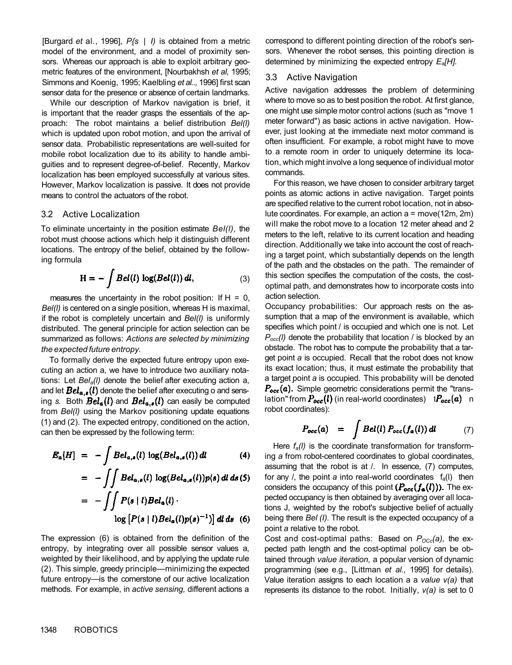[Burgard *et* al., 1996], *P{s* | *I)* is obtained from a metric model of the environment, and a model of proximity sensors. Whereas our approach is able to exploit arbitrary geometric features of the environment, [Nourbakhsh *et al,* 1995; Simmons and Koenig, 1995; Kaelbling *et al..,* 1996] first scan sensor data for the presence or absence of certain landmarks.

While our description of Markov navigation is brief, it is important that the reader grasps the essentials of the approach: The robot maintains a belief distribution *Bel(l)*  which is updated upon robot motion, and upon the arrival of sensor data. Probabilistic representations are well-suited for mobile robot localization due to its ability to handle ambiguities and to represent degree-of-belief. Recently, Markov localization has been employed successfully at various sites. However, Markov localization is passive. It does not provide means to control the actuators of the robot.

### 3.2 Active Localization

To eliminate uncertainty in the position estimate *Bel(l),* the robot must choose actions which help it distinguish different locations. The entropy of the belief, obtained by the following formula

$$
H = -\int Bel(l) \log(Bel(l)) dl,
$$
 (3)

measures the uncertainty in the robot position: If  $H = 0$ , *Bel(l)* is centered on a single position, whereas H is maximal, if the robot is completely uncertain and *Bel(l)* is uniformly distributed. The general principle for action selection can be summarized as follows: *Actions are selected by minimizing the expected future entropy.* 

To formally derive the expected future entropy upon executing an action a, we have to introduce two auxiliary notations: Let *Bela(l)* denote the belief after executing action a, and let  $Bel_{a.s}(l)$  denote the belief after executing o and sensing s. Both  $Bel_a(l)$  and  $Bel_{a,s}(l)$  can easily be computed from *Bel(l)* using the Markov positioning update equations (1) and (2). The expected entropy, conditioned on the action, can then be expressed by the following term:

$$
E_{\alpha}[H] = -\int Bel_{\alpha,s}(l) \log(Bel_{\alpha,s}(l)) dl \qquad (4)
$$

$$
= - \iint Bel_{a,s}(l) \log(Bel_{a,s}(l)) p(s) \, dl \, ds(5)
$$

$$
= - \iint P(s \mid l) Bel_a(l) \cdot \log [P(s \mid l) Bel_a(l) p(s)^{-1})] \, dl \, ds \quad (6)
$$

The expression (6) is obtained from the definition of the entropy, by integrating over all possible sensor values a, weighted by their likelihood, and by applying the update rule (2). This simple, greedy principle—minimizing the expected future entropy—is the cornerstone of our active localization methods. For example, in *active sensing,* different actions a

correspond to different pointing direction of the robot's sensors. Whenever the robot senses, this pointing direction is determined by minimizing the expected entropy *Ea[H].* 

# 3.3 Active Navigation

Active navigation addresses the problem of determining where to move so as to best position the robot. At first glance, one might use simple motor control actions (such as "move 1 meter forward") as basic actions in active navigation. However, just looking at the immediate next motor command is often insufficient. For example, a robot might have to move to a remote room in order to uniquely determine its location, which might involve a long sequence of individual motor commands.

For this reason, we have chosen to consider arbitrary target points as atomic actions in active navigation. Target points are specified relative to the current robot location, not in absolute coordinates. For example, an action a = move(12m, 2m) will make the robot move to a location 12 meter ahead and 2 meters to the left, relative to its current location and heading direction. Additionally we take into account the cost of reaching a target point, which substantially depends on the length of the path and the obstacles on the path. The remainder of this section specifies the computation of the costs, the costoptimal path, and demonstrates how to incorporate costs into action selection.

Occupancy probabilities: Our approach rests on the assumption that a map of the environment is available, which specifies which point / is occupied and which one is not. Let *Pocc(l)* denote the probability that location / is blocked by an obstacle. The robot has to compute the probability that a target point *a* is occupied. Recall that the robot does not know its exact location; thus, it must estimate the probability that a target point *a* is occupied. This probability will be denoted  $P_{\text{occ}}(a)$ . Simple geometric considerations permit the "translation" from  $P_{\text{occ}}(l)$  (in real-world coordinates)  $iP_{\text{occ}}(a)$  n robot coordinates):

$$
P_{\text{occ}}(a) = \int Bel(l) P_{\text{occ}}(f_a(l)) dl \qquad (7)
$$

Here *fa(l)* is the coordinate transformation for transforming *a* from robot-centered coordinates to global coordinates, assuming that the robot is at /. In essence, (7) computes, for any  $\ell$ , the point a into real-world coordinates  $f_a(\ell)$  then considers the occupancy of this point  $(P_{occ}(f_{\alpha}(l)))$ . The expected occupancy is then obtained by averaging over all locations J, weighted by the robot's subjective belief of actually being there *Bel (I).* The result is the expected occupancy of a point *a* relative to the robot.

Cost and cost-optimal paths: Based on *POCc(a),* the expected path length and the cost-optimal policy can be obtained through *value iteration,* a popular version of dynamic programming (see e.g., [Littman *et al.,* 1995] for details). Value iteration assigns to each location a a *value v(a)* that represents its distance to the robot. Initially, *v(a)* is set to 0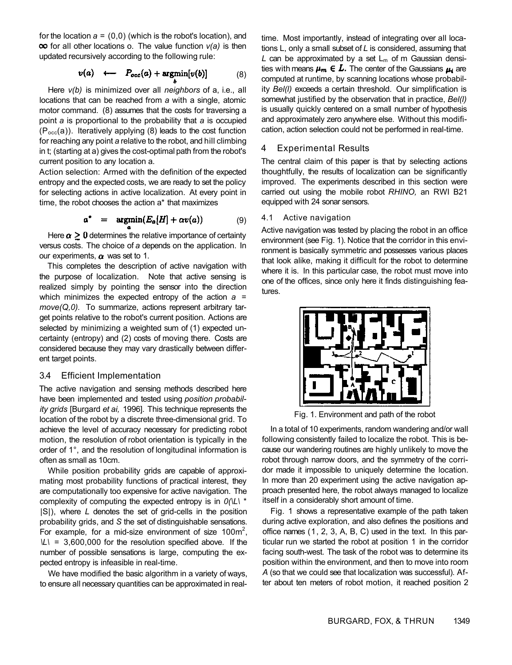for the location  $a = (0,0)$  (which is the robot's location), and **oo** for all other locations o. The value function  $v(a)$  is then updated recursively according to the following rule:

$$
v(a) \longleftarrow P_{occ}(a) + \operatorname{argmin}[v(b)] \qquad (8)
$$

Here *v(b)* is minimized over all *neighbors* of a, i.e., all locations that can be reached from *a* with a single, atomic motor command. (8) assumes that the costs for traversing a point *a* is proportional to the probability that *a* is occupied  $(P<sub>occ</sub>(a))$ . Iteratively applying (8) leads to the cost function for reaching any point *a* relative to the robot, and hill climbing in t; (starting at a) gives the cost-optimal path from the robot's current position to any location a.

Action selection: Armed with the definition of the expected entropy and the expected costs, we are ready to set the policy for selecting actions in active localization. At every point in time, the robot chooses the action a\* that maximizes

$$
a^* = \operatorname{argmin}(E_a[H] + \alpha v(a)) \tag{9}
$$

Here  $\alpha \geq 0$  determines the relative importance of certainty versus costs. The choice of *a* depends on the application. In our experiments,  $\alpha$  was set to 1.

This completes the description of active navigation with the purpose of localization. Note that active sensing is realized simply by pointing the sensor into the direction which minimizes the expected entropy of the action *a* = *move(Q,0).* To summarize, actions represent arbitrary target points relative to the robot's current position. Actions are selected by minimizing a weighted sum of (1) expected uncertainty (entropy) and (2) costs of moving there. Costs are considered because they may vary drastically between different target points.

### 3.4 Efficient Implementation

The active navigation and sensing methods described here have been implemented and tested using *position probability grids* [Burgard *et ai,* 1996]. This technique represents the location of the robot by a discrete three-dimensional grid. To achieve the level of accuracy necessary for predicting robot motion, the resolution of robot orientation is typically in the order of 1°, and the resolution of longitudinal information is often as small as 10cm.

While position probability grids are capable of approximating most probability functions of practical interest, they are computationally too expensive for active navigation. The complexity of computing the expected entropy is in *0(\L\* \* |S|), where *L* denotes the set of grid-cells in the position probability grids, and *S* the set of distinguishable sensations. For example, for a mid-size environment of size 100m<sup>2</sup>, *\L\* = 3,600,000 for the resolution specified above. If the number of possible sensations is large, computing the expected entropy is infeasible in real-time.

We have modified the basic algorithm in a variety of ways, to ensure all necessary quantities can be approximated in realtime. Most importantly, instead of integrating over all locations L, only a small subset of *L* is considered, assuming that  $L$  can be approximated by a set  $L_m$  of m Gaussian densities with means  $\mu_m \in L$ . The center of the Gaussians  $\mu_i$  are computed at runtime, by scanning locations whose probability *Bel(l)* exceeds a certain threshold. Our simplification is somewhat justified by the observation that in practice, *Bel(l)*  is usually quickly centered on a small number of hypothesis and approximately zero anywhere else. Without this modification, action selection could not be performed in real-time.

### 4 Experimental Results

The central claim of this paper is that by selecting actions thoughtfully, the results of localization can be significantly improved. The experiments described in this section were carried out using the mobile robot *RHINO,* an RWI B21 equipped with 24 sonar sensors.

#### 4.1 Active navigation

Active navigation was tested by placing the robot in an office environment (see Fig. 1). Notice that the corridor in this environment is basically symmetric and possesses various places that look alike, making it difficult for the robot to determine where it is. In this particular case, the robot must move into one of the offices, since only here it finds distinguishing features.



Fig. 1. Environment and path of the robot

In a total of 10 experiments, random wandering and/or wall following consistently failed to localize the robot. This is because our wandering routines are highly unlikely to move the robot through narrow doors, and the symmetry of the corridor made it impossible to uniquely determine the location. In more than 20 experiment using the active navigation approach presented here, the robot always managed to localize itself in a considerably short amount of time.

Fig. 1 shows a representative example of the path taken during active exploration, and also defines the positions and office names (1, 2, 3, A, B, C) used in the text. In this particular run we started the robot at position 1 in the corridor facing south-west. The task of the robot was to determine its position within the environment, and then to move into room *A* (so that we could see that localization was successful). After about ten meters of robot motion, it reached position 2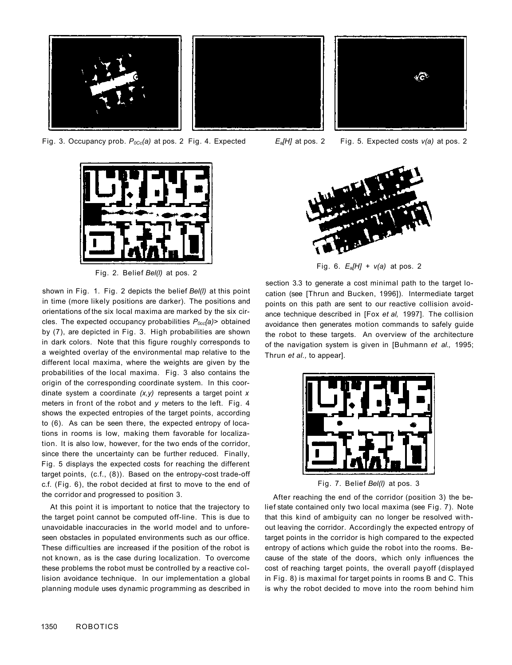

Fig. 3. Occupancy prob. *P0Cc(a)* at pos. 2 Fig. 4. Expected



Fig. 2. Belief *Bel(l)* at pos. 2

shown in Fig. 1. Fig. 2 depicts the belief *Bel(l)* at this point in time (more likely positions are darker). The positions and orientations of the six local maxima are marked by the six circles. The expected occupancy probabilities *P0cc{a)>* obtained by (7), are depicted in Fig. 3. High probabilities are shown in dark colors. Note that this figure roughly corresponds to a weighted overlay of the environmental map relative to the different local maxima, where the weights are given by the probabilities of the local maxima. Fig. 3 also contains the origin of the corresponding coordinate system. In this coordinate system a coordinate *(x,y)* represents a target point *x*  meters in front of the robot and *y* meters to the left. Fig. 4 shows the expected entropies of the target points, according to (6). As can be seen there, the expected entropy of locations in rooms is low, making them favorable for localization. It is also low, however, for the two ends of the corridor, since there the uncertainty can be further reduced. Finally, Fig. 5 displays the expected costs for reaching the different target points, (c.f., (8)). Based on the entropy-cost trade-off c.f. (Fig. 6), the robot decided at first to move to the end of the corridor and progressed to position 3.

At this point it is important to notice that the trajectory to the target point cannot be computed off-line. This is due to unavoidable inaccuracies in the world model and to unforeseen obstacles in populated environments such as our office. These difficulties are increased if the position of the robot is not known, as is the case during localization. To overcome these problems the robot must be controlled by a reactive collision avoidance technique. In our implementation a global planning module uses dynamic programming as described in



*Ea[H]* at pos. 2 Fig. 5. Expected costs *v(a)* at pos. 2



Fig. 6. *Ea[H]* + *v(a)* at pos. 2

section 3.3 to generate a cost minimal path to the target location (see [Thrun and Bucken, 1996]). Intermediate target points on this path are sent to our reactive collision avoidance technique described in [Fox *et al,* 1997]. The collision avoidance then generates motion commands to safely guide the robot to these targets. An overview of the architecture of the navigation system is given in [Buhmann *et al.,* 1995; Thrun *et al.,* to appear].



After reaching the end of the corridor (position 3) the belief state contained only two local maxima (see Fig. 7). Note that this kind of ambiguity can no longer be resolved without leaving the corridor. Accordingly the expected entropy of target points in the corridor is high compared to the expected entropy of actions which guide the robot into the rooms. Because of the state of the doors, which only influences the cost of reaching target points, the overall payoff (displayed in Fig. 8) is maximal for target points in rooms B and C. This is why the robot decided to move into the room behind him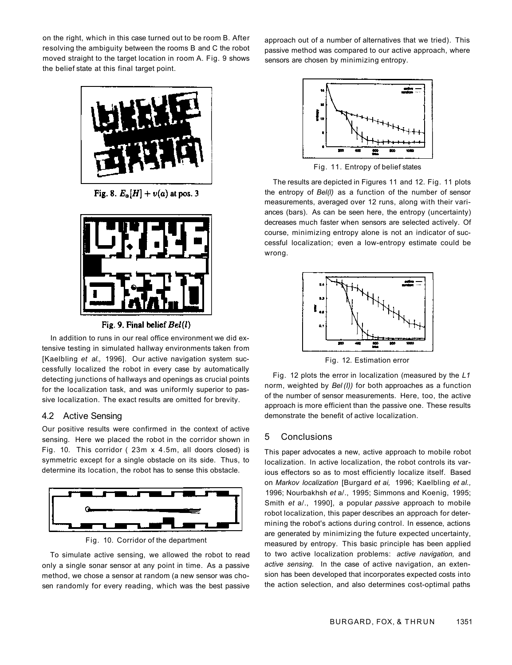on the right, which in this case turned out to be room B. After resolving the ambiguity between the rooms B and C the robot moved straight to the target location in room A. Fig. 9 shows the belief state at this final target point.



Fig. 8.  $E_{\alpha}[H] + v(a)$  at pos. 3



Fig. 9. Final belief  $Bel(l)$ 

In addition to runs in our real office environment we did extensive testing in simulated hallway environments taken from [Kaelbling et al., 1996]. Our active navigation system successfully localized the robot in every case by automatically detecting junctions of hallways and openings as crucial points for the localization task, and was uniformly superior to passive localization. The exact results are omitted for brevity.

# 4.2 Active Sensing

Our positive results were confirmed in the context of active sensing. Here we placed the robot in the corridor shown in Fig. 10. This corridor ( 23m x 4.5m, all doors closed) is symmetric except for a single obstacle on its side. Thus, to determine its location, the robot has to sense this obstacle.



Fig. 10. Corridor of the department

To simulate active sensing, we allowed the robot to read only a single sonar sensor at any point in time. As a passive method, we chose a sensor at random (a new sensor was chosen randomly for every reading, which was the best passive approach out of a number of alternatives that we tried). This passive method was compared to our active approach, where sensors are chosen by minimizing entropy.



Fig. 11. Entropy of belief states

The results are depicted in Figures 11 and 12. Fig. 11 plots the entropy of *Bel(l)* as a function of the number of sensor measurements, averaged over 12 runs, along with their variances (bars). As can be seen here, the entropy (uncertainty) decreases much faster when sensors are selected actively. Of course, minimizing entropy alone is not an indicator of successful localization; even a low-entropy estimate could be wrong.



Fig. 12. Estimation error

Fig. 12 plots the error in localization (measured by the *L1*  norm, weighted by *Bel (I))* for both approaches as a function of the number of sensor measurements. Here, too, the active approach is more efficient than the passive one. These results demonstrate the benefit of active localization.

# 5 Conclusions

This paper advocates a new, active approach to mobile robot localization. In active localization, the robot controls its various effectors so as to most efficiently localize itself. Based on *Markov localization* [Burgard *et ai,* 1996; Kaelbling *et al.,*  1996; Nourbakhsh *et* a/., 1995; Simmons and Koenig, 1995; Smith *et* a/., 1990], a popular *passive* approach to mobile robot localization, this paper describes an approach for determining the robot's actions during control. In essence, actions are generated by minimizing the future expected uncertainty, measured by entropy. This basic principle has been applied to two active localization problems: *active navigation,* and *active sensing.* In the case of active navigation, an extension has been developed that incorporates expected costs into the action selection, and also determines cost-optimal paths